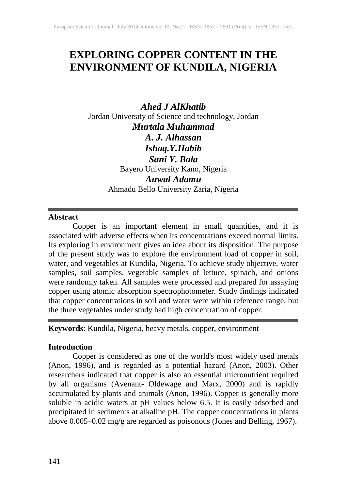# **EXPLORING COPPER CONTENT IN THE ENVIRONMENT OF KUNDILA, NIGERIA**

*Ahed J AlKhatib* Jordan University of Science and technology, Jordan *Murtala Muhammad A. J. Alhassan Ishaq.Y.Habib Sani Y. Bala* Bayero University Kano, Nigeria *Auwal Adamu* Ahmadu Bello University Zaria, Nigeria

### **Abstract**

Copper is an important element in small quantities, and it is associated with adverse effects when its concentrations exceed normal limits. Its exploring in environment gives an idea about its disposition. The purpose of the present study was to explore the environment load of copper in soil, water, and vegetables at Kundila, Nigeria. To achieve study objective, water samples, soil samples, vegetable samples of lettuce, spinach, and onions were randomly taken. All samples were processed and prepared for assaying copper using atomic absorption spectrophotometer. Study findings indicated that copper concentrations in soil and water were within reference range, but the three vegetables under study had high concentration of copper.

**Keywords**: Kundila, Nigeria, heavy metals, copper, environment

### **Introduction**

Copper is considered as one of the world's most widely used metals (Anon, 1996), and is regarded as a potential hazard (Anon, 2003). Other researchers indicated that copper is also an essential micronutrient required by all organisms (Avenant- Oldewage and Marx, 2000) and is rapidly accumulated by plants and animals (Anon, 1996). Copper is generally more soluble in acidic waters at pH values below 6.5. It is easily adsorbed and precipitated in sediments at alkaline pH. The copper concentrations in plants above 0.005–0.02 mg/g are regarded as poisonous (Jones and Belling, 1967).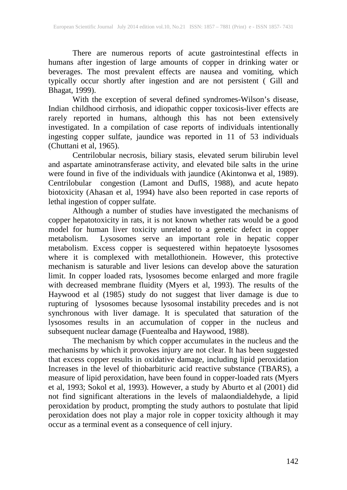There are numerous reports of acute gastrointestinal effects in humans after ingestion of large amounts of copper in drinking water or beverages. The most prevalent effects are nausea and vomiting, which typically occur shortly after ingestion and are not persistent ( Gill and Bhagat, 1999).

With the exception of several defined syndromes-Wilson's disease, Indian childhood cirrhosis, and idiopathic copper toxicosis-liver effects are rarely reported in humans, although this has not been extensively investigated. In a compilation of case reports of individuals intentionally ingesting copper sulfate, jaundice was reported in 11 of 53 individuals (Chuttani et al, 1965).

Centrilobular necrosis, biliary stasis, elevated serum bilirubin level and aspartate aminotransferase activity, and elevated bile salts in the urine were found in five of the individuals with jaundice (Akintonwa et al, 1989). Centrilobular congestion (Lamont and DuflS, 1988), and acute hepato biotoxicity (Ahasan et al, 1994) have also been reported in case reports of lethal ingestion of copper sulfate.

Although a number of studies have investigated the mechanisms of copper hepatotoxicity in rats, it is not known whether rats would be a good model for human liver toxicity unrelated to a genetic defect in copper metabolism. Lysosomes serve an important role in hepatic copper metabolism. Excess copper is sequestered within hepatoeyte lysosomes where it is complexed with metallothionein. However, this protective mechanism is saturable and liver lesions can develop above the saturation limit. In copper loaded rats, lysosomes become enlarged and more fragile with decreased membrane fluidity (Myers et al, 1993). The results of the Haywood et al (1985) study do not suggest that liver damage is due to rupturing of lysosomes because lysosomal instability precedes and is not synchronous with liver damage. It is speculated that saturation of the lysosomes results in an accumulation of copper in the nucleus and subsequent nuclear damage (Fuentealba and Haywood, 1988).

The mechanism by which copper accumulates in the nucleus and the mechanisms by which it provokes injury are not clear. It has been suggested that excess copper results in oxidative damage, including lipid peroxidation Increases in the level of thiobarbituric acid reactive substance (TBARS), a measure of lipid peroxidation, have been found in copper-loaded rats (Myers et al, 1993; Sokol et al, 1993). However, a study by Aburto et al (2001) did not find significant alterations in the levels of malaondialdehyde, a lipid peroxidation by product, prompting the study authors to postulate that lipid peroxidation does not play a major role in copper toxicity although it may occur as a terminal event as a consequence of cell injury.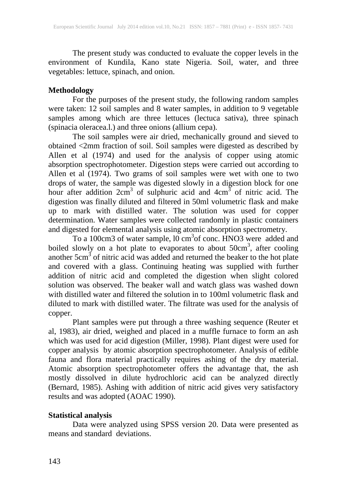The present study was conducted to evaluate the copper levels in the environment of Kundila, Kano state Nigeria. Soil, water, and three vegetables: lettuce, spinach, and onion.

### **Methodology**

For the purposes of the present study, the following random samples were taken: 12 soil samples and 8 water samples, in addition to 9 vegetable samples among which are three lettuces (lectuca sativa), three spinach (spinacia oleracea.l.) and three onions (allium cepa).

The soil samples were air dried, mechanically ground and sieved to obtained <2mm fraction of soil. Soil samples were digested as described by Allen et al (1974) and used for the analysis of copper using atomic absorption spectrophotometer. Digestion steps were carried out according to Allen et al (1974). Two grams of soil samples were wet with one to two drops of water, the sample was digested slowly in a digestion block for one hour after addition  $2cm<sup>3</sup>$  of sulphuric acid and  $4cm<sup>3</sup>$  of nitric acid. The digestion was finally diluted and filtered in 50ml volumetric flask and make up to mark with distilled water. The solution was used for copper determination. Water samples were collected randomly in plastic containers and digested for elemental analysis using atomic absorption spectrometry.

To a 100cm3 of water sample, 10 cm<sup>3</sup>of conc. HNO3 were added and boiled slowly on a hot plate to evaporates to about  $50 \text{cm}^3$ , after cooling another  $5 \text{cm}^3$  of nitric acid was added and returned the beaker to the hot plate and covered with a glass. Continuing heating was supplied with further addition of nitric acid and completed the digestion when slight colored solution was observed. The beaker wall and watch glass was washed down with distilled water and filtered the solution in to 100ml volumetric flask and diluted to mark with distilled water. The filtrate was used for the analysis of copper.

Plant samples were put through a three washing sequence (Reuter et al, 1983), air dried, weighed and placed in a muffle furnace to form an ash which was used for acid digestion (Miller, 1998). Plant digest were used for copper analysis by atomic absorption spectrophotometer. Analysis of edible fauna and flora material practically requires ashing of the dry material. Atomic absorption spectrophotometer offers the advantage that, the ash mostly dissolved in dilute hydrochloric acid can be analyzed directly (Bernard, 1985). Ashing with addition of nitric acid gives very satisfactory results and was adopted (AOAC 1990).

# **Statistical analysis**

Data were analyzed using SPSS version 20. Data were presented as means and standard deviations.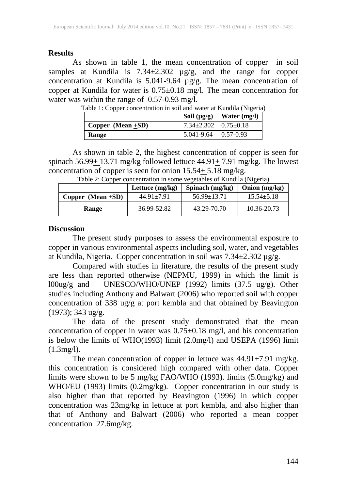### **Results**

As shown in table 1, the mean concentration of copper in soil samples at Kundila is 7.34±2.302 µg/g, and the range for copper concentration at Kundila is 5.041-9.64 µg/g. The mean concentration of copper at Kundila for water is 0.75±0.18 mg/l. The mean concentration for water was within the range of 0.57-0.93 mg/l.

| ruole 1: Copper concentration in son and water at reament (1:15 cm) |                                    | Soil $(\mu g/g)$   Water $(mg/l)$ |
|---------------------------------------------------------------------|------------------------------------|-----------------------------------|
| $\sim$ Copper (Mean +SD)                                            | $7.34 \pm 2.302$   $0.75 \pm 0.18$ |                                   |
| Range                                                               | $5.041 - 9.64$   0.57-0.93         |                                   |

Table 1: Copper concentration in soil and water at Kundila (Nigeria)

As shown in table 2, the highest concentration of copper is seen for spinach 56.99 $\pm$ 13.71 mg/kg followed lettuce 44.91 $\pm$  7.91 mg/kg. The lowest concentration of copper is seen for onion  $15.54 \pm 5.18$  mg/kg.

|                      | Lettuce $(mg/kg)$ | Spinach $(mg/kg)$ | Onion $(mg/kg)$ |
|----------------------|-------------------|-------------------|-----------------|
| Copper $(Mean + SD)$ | $44.91 \pm 7.91$  | $56.99 \pm 13.71$ | $15.54 + 5.18$  |
| Range                | 36.99-52.82       | 43.29-70.70       | 10.36-20.73     |

Table 2: Copper concentration in some vegetables of Kundila (Nigeria)

#### **Discussion**

The present study purposes to assess the environmental exposure to copper in various environmental aspects including soil, water, and vegetables at Kundila, Nigeria. Copper concentration in soil was 7.34±2.302 µg/g.

Compared with studies in literature, the results of the present study are less than reported otherwise (NEPMU, 1999) in which the limit is l00ug/g and UNESCO/WHO/UNEP (1992) limits (37.5 ug/g). Other studies including Anthony and Balwart (2006) who reported soil with copper concentration of 338 ug/g at port kembla and that obtained by Beavington (1973); 343 ug/g.

The data of the present study demonstrated that the mean concentration of copper in water was  $0.75 \pm 0.18$  mg/l, and his concentration is below the limits of WHO(1993) limit (2.0mg/l) and USEPA (1996) limit (1.3mg/l).

The mean concentration of copper in lettuce was 44.91±7.91 mg/kg. this concentration is considered high compared with other data. Copper limits were shown to be 5 mg/kg FAO/WHO (1993). limits (5.0mg/kg) and WHO/EU (1993) limits (0.2mg/kg). Copper concentration in our study is also higher than that reported by Beavington (1996) in which copper concentration was 23mg/kg in lettuce at port kembla, and also higher than that of Anthony and Balwart (2006) who reported a mean copper concentration 27.6mg/kg.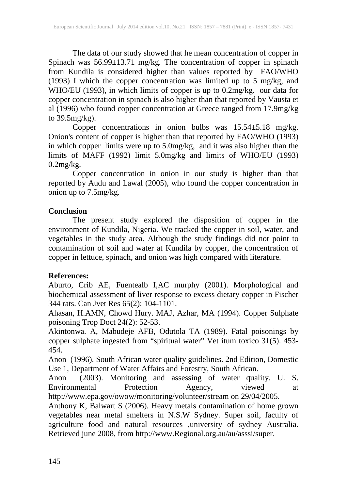The data of our study showed that he mean concentration of copper in Spinach was 56.99±13.71 mg/kg. The concentration of copper in spinach from Kundila is considered higher than values reported by FAO/WHO (1993) I which the copper concentration was limited up to 5 mg/kg, and WHO/EU (1993), in which limits of copper is up to 0.2mg/kg. our data for copper concentration in spinach is also higher than that reported by Vausta et al (1996) who found copper concentration at Greece ranged from 17.9mg/kg to 39.5mg/kg).

Copper concentrations in onion bulbs was 15.54±5.18 mg/kg. Onion's content of copper is higher than that reported by FAO/WHO (1993) in which copper limits were up to 5.0mg/kg, and it was also higher than the limits of MAFF (1992) limit 5.0mg/kg and limits of WHO/EU (1993)  $0.2$ mg/ $kg$ .

Copper concentration in onion in our study is higher than that reported by Audu and Lawal (2005), who found the copper concentration in onion up to 7.5mg/kg.

### **Conclusion**

The present study explored the disposition of copper in the environment of Kundila, Nigeria. We tracked the copper in soil, water, and vegetables in the study area. Although the study findings did not point to contamination of soil and water at Kundila by copper, the concentration of copper in lettuce, spinach, and onion was high compared with literature.

# **References:**

Aburto, Crib AE, Fuentealb I,AC murphy (2001). Morphological and biochemical assessment of liver response to excess dietary copper in Fischer 344 rats. Can Jvet Res 65(2): 104-1101.

Ahasan, H.AMN, Chowd Hury. MAJ, Azhar, MA (1994). Copper Sulphate poisoning Trop Doct 24(2): 52-53.

Akintonwa. A, Mabudeje AFB, Odutola TA (1989). Fatal poisonings by copper sulphate ingested from "spiritual water" Vet itum toxico 31(5). 453- 454.

Anon (1996). South African water quality guidelines. 2nd Edition, Domestic Use 1, Department of Water Affairs and Forestry, South African.

Anon (2003). Monitoring and assessing of water quality. U. S. Environmental Protection Agency, viewed at http://www.epa.gov/owow/monitoring/volunteer/stream on 29/04/2005.

Anthony K, Balwart S (2006). Heavy metals contamination of home grown vegetables near metal smelters in N.S.W Sydney. Super soil, faculty of agriculture food and natural resources ,university of sydney Australia. Retrieved june 2008, from http://www.Regional.org.au/au/asssi/super.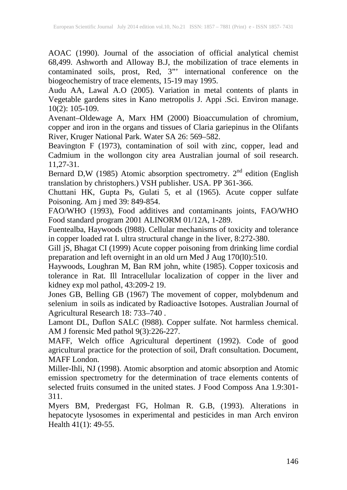AOAC (1990). Journal of the association of official analytical chemist 68,499. Ashworth and Alloway B.J, the mobilization of trace elements in contaminated soils, prost, Red, 3"' international conference on the biogeochemistry of trace elements, 15-19 may 1995.

Audu AA, Lawal A.O (2005). Variation in metal contents of plants in Vegetable gardens sites in Kano metropolis J. Appi .Sci. Environ manage. 10(2): 105-109.

Avenant–Oldewage A, Marx HM (2000) Bioaccumulation of chromium, copper and iron in the organs and tissues of Claria gariepinus in the Olifants River, Kruger National Park. Water SA 26: 569–582.

Beavington F (1973), contamination of soil with zinc, copper, lead and Cadmium in the wollongon city area Australian journal of soil research. 11,27-31.

Bernard D,W (1985) Atomic absorption spectrometry.  $2<sup>nd</sup>$  edition (English translation by christophers.) VSH publisher. USA. PP 361-366.

Chuttani HK, Gupta Ps, Gulati 5, et al (1965). Acute copper sulfate Poisoning. Am j med 39: 849-854.

FAO/WHO (1993), Food additives and contaminants joints, FAO/WHO Food standard program 2001 ALINORM 01/12A, 1-289.

Fuentealba, Haywoods (l988). Cellular mechanisms of toxicity and tolerance in copper loaded rat I. ultra structural change in the liver, 8:272-380.

Gill jS, Bhagat CI (1999) Acute copper poisoning from drinking lime cordial preparation and left overnight in an old urn Med J Aug 170(l0):510.

Haywoods, Loughran M, Ban RM john, white (1985). Copper toxicosis and tolerance in Rat. Ill Intracellular localization of copper in the liver and kidney exp mol pathol, 43:209-2 19.

Jones GB, Belling GB (1967) The movement of copper, molybdenum and selenium in soils as indicated by Radioactive Isotopes. Australian Journal of Agricultural Research 18: 733–740 .

Lamont DL, Duflon SALC (l988). Copper sulfate. Not harmless chemical. AM J forensic Med pathol 9(3):226-227.

MAFF, Welch office Agricultural depertinent (1992). Code of good agricultural practice for the protection of soil, Draft consultation. Document, MAFF London.

Miller-Ihli, NJ (1998). Atomic absorption and atomic absorption and Atomic emission spectrometry for the determination of trace elements contents of selected fruits consumed in the united states. J Food Composs Ana 1.9:301- 311.

Myers BM, Predergast FG, Holman R. G.B, (1993). Alterations in hepatocyte lysosomes in experimental and pesticides in man Arch environ Health 41(1): 49-55.